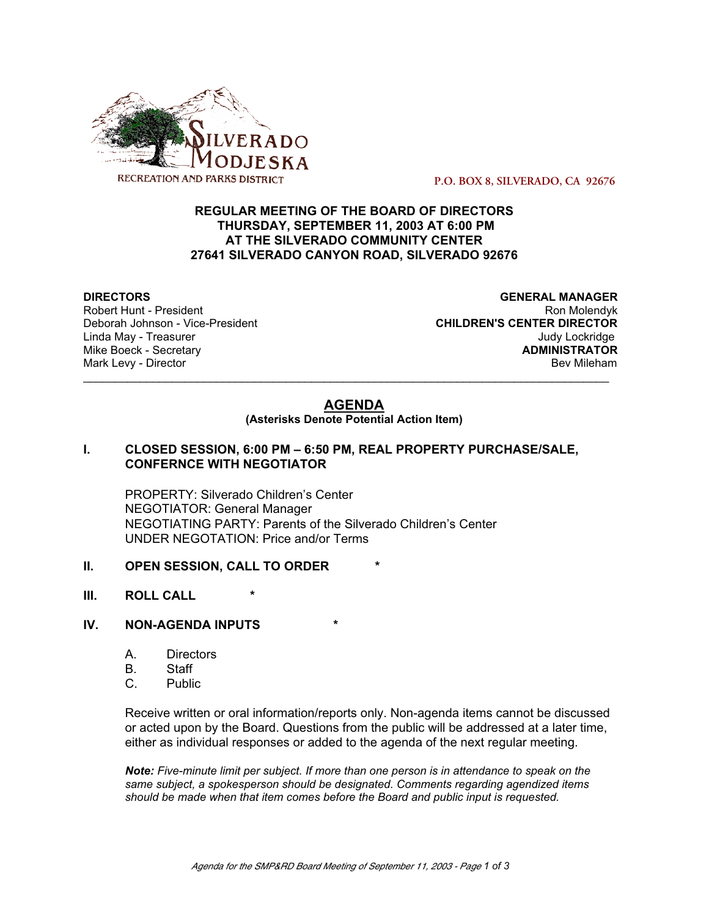

 **P.O. BOX 8, SILVERADO, CA 92676**

# **REGULAR MEETING OF THE BOARD OF DIRECTORS THURSDAY, SEPTEMBER 11, 2003 AT 6:00 PM AT THE SILVERADO COMMUNITY CENTER 27641 SILVERADO CANYON ROAD, SILVERADO 92676**

**Mike Boeck - Secretary** 

**DIRECTORS GENERAL MANAGER** Robert Hunt - President National Robert Hunt - President National Robert Hunt - Ron Molendyk Deborah Johnson - Vice-President **CHILDREN'S CENTER DIRECTOR** Linda May - Treasurer (1999) and the United States of the United States of the United States of the United States<br>Mike Boeck - Secretary (1999) and the United States of the United States (1999) and the United States of the Mark Levy - Director **Bev Mileham Mark Levy - Director** Bev Mileham

# **AGENDA**

\_\_\_\_\_\_\_\_\_\_\_\_\_\_\_\_\_\_\_\_\_\_\_\_\_\_\_\_\_\_\_\_\_\_\_\_\_\_\_\_\_\_\_\_\_\_\_\_\_\_\_\_\_\_\_\_\_\_\_\_\_\_\_\_\_\_\_\_\_\_\_\_\_\_\_\_\_\_\_\_\_\_\_

**(Asterisks Denote Potential Action Item)**

#### **I. CLOSED SESSION, 6:00 PM – 6:50 PM, REAL PROPERTY PURCHASE/SALE, CONFERNCE WITH NEGOTIATOR**

PROPERTY: Silverado Children's Center NEGOTIATOR: General Manager NEGOTIATING PARTY: Parents of the Silverado Children's Center UNDER NEGOTATION: Price and/or Terms

#### **II. OPEN SESSION, CALL TO ORDER**

**III.** ROLL CALL

## **IV. NON-AGENDA INPUTS**

- A. Directors
- B. Staff
- C. Public

Receive written or oral information/reports only. Non-agenda items cannot be discussed or acted upon by the Board. Questions from the public will be addressed at a later time, either as individual responses or added to the agenda of the next regular meeting.

*Note: Five-minute limit per subject. If more than one person is in attendance to speak on the same subject, a spokesperson should be designated. Comments regarding agendized items should be made when that item comes before the Board and public input is requested.*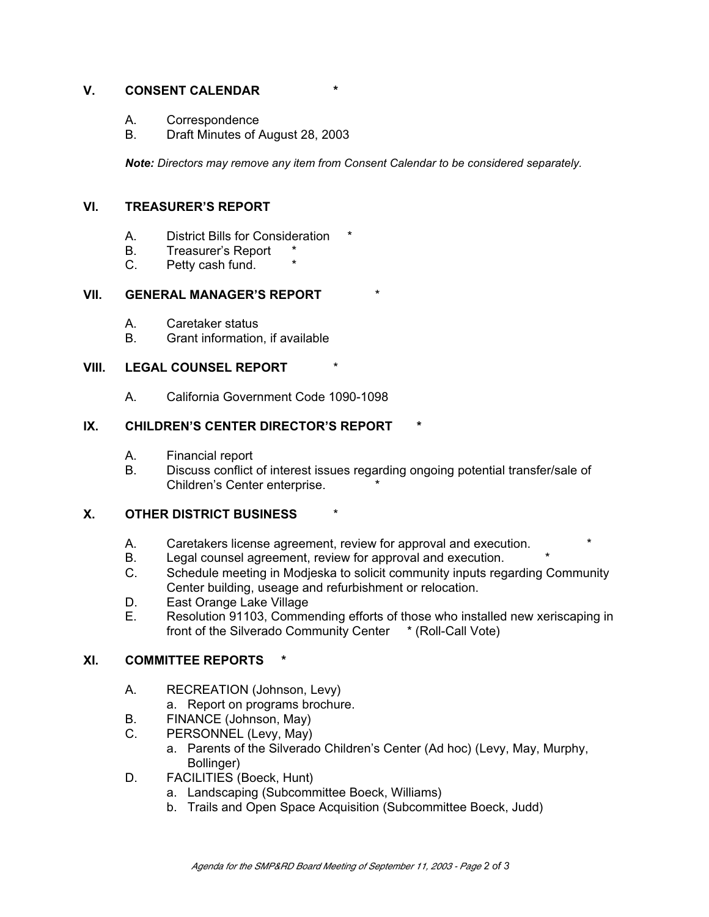# **V. CONSENT CALENDAR \***

- A. Correspondence
- B. Draft Minutes of August 28, 2003

*Note: Directors may remove any item from Consent Calendar to be considered separately.*

# **VI. TREASURER'S REPORT**

- A. District Bills for Consideration
- B. Treasurer's Report \*<br>C. Petty cash fund. \*
- Petty cash fund.

## **VII. GENERAL MANAGER'S REPORT**

- A. Caretaker status
- B. Grant information, if available

## **VIII. LEGAL COUNSEL REPORT**

A. California Government Code 1090-1098

# **IX. CHILDREN'S CENTER DIRECTOR'S REPORT**

- A. Financial report
- B. Discuss conflict of interest issues regarding ongoing potential transfer/sale of Children's Center enterprise. \*

# **X. OTHER DISTRICT BUSINESS** \*

- A. Caretakers license agreement, review for approval and execution.
- B. Legal counsel agreement, review for approval and execution. \*
- C. Schedule meeting in Modjeska to solicit community inputs regarding Community Center building, useage and refurbishment or relocation.
- D. East Orange Lake Village
- E. Resolution 91103, Commending efforts of those who installed new xeriscaping in front of the Silverado Community Center \* (Roll-Call Vote)

# **XI. COMMITTEE REPORTS \***

- A. RECREATION (Johnson, Levy)
	- a. Report on programs brochure.
- B. FINANCE (Johnson, May)
- C. PERSONNEL (Levy, May)
	- a. Parents of the Silverado Children's Center (Ad hoc) (Levy, May, Murphy, Bollinger)
- D. FACILITIES (Boeck, Hunt)
	- a. Landscaping (Subcommittee Boeck, Williams)
	- b. Trails and Open Space Acquisition (Subcommittee Boeck, Judd)